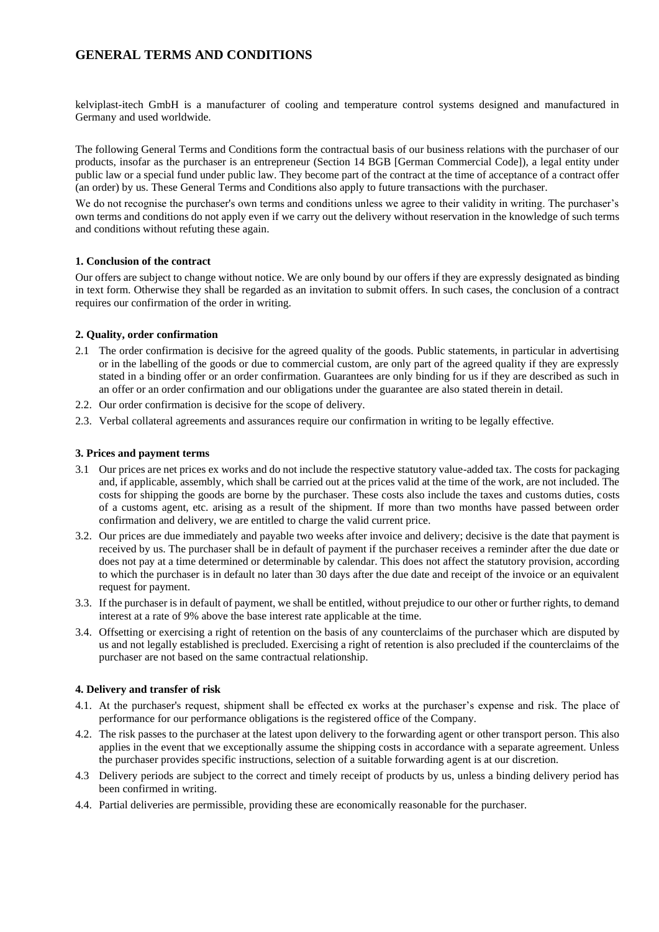# **GENERAL TERMS AND CONDITIONS**

kelviplast-itech GmbH is a manufacturer of cooling and temperature control systems designed and manufactured in Germany and used worldwide.

The following General Terms and Conditions form the contractual basis of our business relations with the purchaser of our products, insofar as the purchaser is an entrepreneur (Section 14 BGB [German Commercial Code]), a legal entity under public law or a special fund under public law. They become part of the contract at the time of acceptance of a contract offer (an order) by us. These General Terms and Conditions also apply to future transactions with the purchaser.

We do not recognise the purchaser's own terms and conditions unless we agree to their validity in writing. The purchaser's own terms and conditions do not apply even if we carry out the delivery without reservation in the knowledge of such terms and conditions without refuting these again.

## **1. Conclusion of the contract**

Our offers are subject to change without notice. We are only bound by our offers if they are expressly designated as binding in text form. Otherwise they shall be regarded as an invitation to submit offers. In such cases, the conclusion of a contract requires our confirmation of the order in writing.

## **2. Quality, order confirmation**

- 2.1 The order confirmation is decisive for the agreed quality of the goods. Public statements, in particular in advertising or in the labelling of the goods or due to commercial custom, are only part of the agreed quality if they are expressly stated in a binding offer or an order confirmation. Guarantees are only binding for us if they are described as such in an offer or an order confirmation and our obligations under the guarantee are also stated therein in detail.
- 2.2. Our order confirmation is decisive for the scope of delivery.
- 2.3. Verbal collateral agreements and assurances require our confirmation in writing to be legally effective.

## **3. Prices and payment terms**

- 3.1 Our prices are net prices ex works and do not include the respective statutory value-added tax. The costs for packaging and, if applicable, assembly, which shall be carried out at the prices valid at the time of the work, are not included. The costs for shipping the goods are borne by the purchaser. These costs also include the taxes and customs duties, costs of a customs agent, etc. arising as a result of the shipment. If more than two months have passed between order confirmation and delivery, we are entitled to charge the valid current price.
- 3.2. Our prices are due immediately and payable two weeks after invoice and delivery; decisive is the date that payment is received by us. The purchaser shall be in default of payment if the purchaser receives a reminder after the due date or does not pay at a time determined or determinable by calendar. This does not affect the statutory provision, according to which the purchaser is in default no later than 30 days after the due date and receipt of the invoice or an equivalent request for payment.
- 3.3. If the purchaser is in default of payment, we shall be entitled, without prejudice to our other or further rights, to demand interest at a rate of 9% above the base interest rate applicable at the time.
- 3.4. Offsetting or exercising a right of retention on the basis of any counterclaims of the purchaser which are disputed by us and not legally established is precluded. Exercising a right of retention is also precluded if the counterclaims of the purchaser are not based on the same contractual relationship.

#### **4. Delivery and transfer of risk**

- 4.1. At the purchaser's request, shipment shall be effected ex works at the purchaser's expense and risk. The place of performance for our performance obligations is the registered office of the Company.
- 4.2. The risk passes to the purchaser at the latest upon delivery to the forwarding agent or other transport person. This also applies in the event that we exceptionally assume the shipping costs in accordance with a separate agreement. Unless the purchaser provides specific instructions, selection of a suitable forwarding agent is at our discretion.
- 4.3 Delivery periods are subject to the correct and timely receipt of products by us, unless a binding delivery period has been confirmed in writing.
- 4.4. Partial deliveries are permissible, providing these are economically reasonable for the purchaser.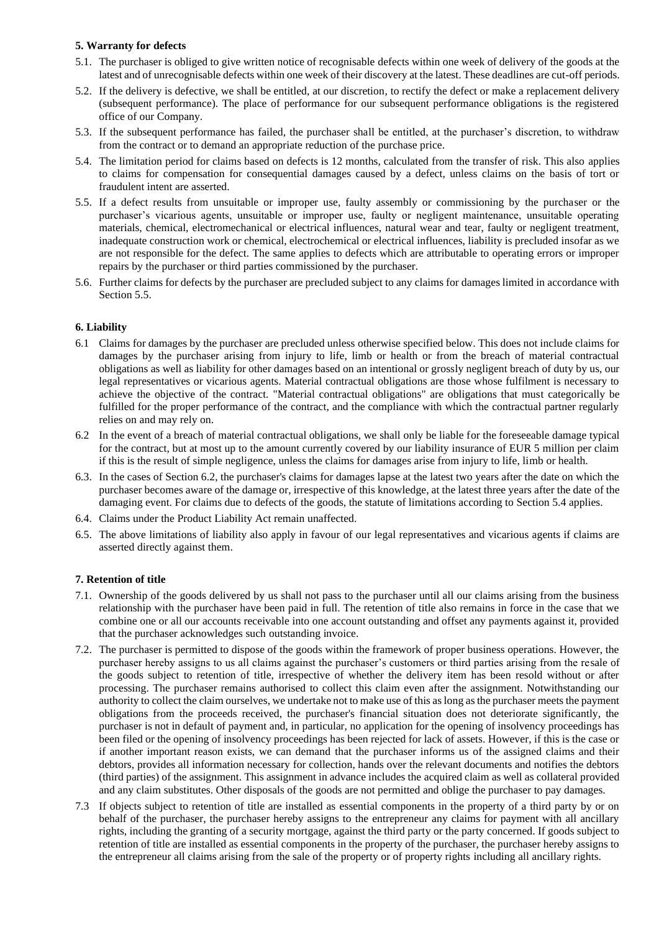## **5. Warranty for defects**

- 5.1. The purchaser is obliged to give written notice of recognisable defects within one week of delivery of the goods at the latest and of unrecognisable defects within one week of their discovery at the latest. These deadlines are cut-off periods.
- 5.2. If the delivery is defective, we shall be entitled, at our discretion, to rectify the defect or make a replacement delivery (subsequent performance). The place of performance for our subsequent performance obligations is the registered office of our Company.
- 5.3. If the subsequent performance has failed, the purchaser shall be entitled, at the purchaser's discretion, to withdraw from the contract or to demand an appropriate reduction of the purchase price.
- 5.4. The limitation period for claims based on defects is 12 months, calculated from the transfer of risk. This also applies to claims for compensation for consequential damages caused by a defect, unless claims on the basis of tort or fraudulent intent are asserted.
- 5.5. If a defect results from unsuitable or improper use, faulty assembly or commissioning by the purchaser or the purchaser's vicarious agents, unsuitable or improper use, faulty or negligent maintenance, unsuitable operating materials, chemical, electromechanical or electrical influences, natural wear and tear, faulty or negligent treatment, inadequate construction work or chemical, electrochemical or electrical influences, liability is precluded insofar as we are not responsible for the defect. The same applies to defects which are attributable to operating errors or improper repairs by the purchaser or third parties commissioned by the purchaser.
- 5.6. Further claims for defects by the purchaser are precluded subject to any claims for damages limited in accordance with Section 5.5.

## **6. Liability**

- 6.1 Claims for damages by the purchaser are precluded unless otherwise specified below. This does not include claims for damages by the purchaser arising from injury to life, limb or health or from the breach of material contractual obligations as well as liability for other damages based on an intentional or grossly negligent breach of duty by us, our legal representatives or vicarious agents. Material contractual obligations are those whose fulfilment is necessary to achieve the objective of the contract. "Material contractual obligations" are obligations that must categorically be fulfilled for the proper performance of the contract, and the compliance with which the contractual partner regularly relies on and may rely on.
- 6.2 In the event of a breach of material contractual obligations, we shall only be liable for the foreseeable damage typical for the contract, but at most up to the amount currently covered by our liability insurance of EUR 5 million per claim if this is the result of simple negligence, unless the claims for damages arise from injury to life, limb or health.
- 6.3. In the cases of Section 6.2, the purchaser's claims for damages lapse at the latest two years after the date on which the purchaser becomes aware of the damage or, irrespective of this knowledge, at the latest three years after the date of the damaging event. For claims due to defects of the goods, the statute of limitations according to Section 5.4 applies.
- 6.4. Claims under the Product Liability Act remain unaffected.
- 6.5. The above limitations of liability also apply in favour of our legal representatives and vicarious agents if claims are asserted directly against them.

# **7. Retention of title**

- 7.1. Ownership of the goods delivered by us shall not pass to the purchaser until all our claims arising from the business relationship with the purchaser have been paid in full. The retention of title also remains in force in the case that we combine one or all our accounts receivable into one account outstanding and offset any payments against it, provided that the purchaser acknowledges such outstanding invoice.
- 7.2. The purchaser is permitted to dispose of the goods within the framework of proper business operations. However, the purchaser hereby assigns to us all claims against the purchaser's customers or third parties arising from the resale of the goods subject to retention of title, irrespective of whether the delivery item has been resold without or after processing. The purchaser remains authorised to collect this claim even after the assignment. Notwithstanding our authority to collect the claim ourselves, we undertake not to make use of this as long as the purchaser meets the payment obligations from the proceeds received, the purchaser's financial situation does not deteriorate significantly, the purchaser is not in default of payment and, in particular, no application for the opening of insolvency proceedings has been filed or the opening of insolvency proceedings has been rejected for lack of assets. However, if this is the case or if another important reason exists, we can demand that the purchaser informs us of the assigned claims and their debtors, provides all information necessary for collection, hands over the relevant documents and notifies the debtors (third parties) of the assignment. This assignment in advance includes the acquired claim as well as collateral provided and any claim substitutes. Other disposals of the goods are not permitted and oblige the purchaser to pay damages.
- 7.3 If objects subject to retention of title are installed as essential components in the property of a third party by or on behalf of the purchaser, the purchaser hereby assigns to the entrepreneur any claims for payment with all ancillary rights, including the granting of a security mortgage, against the third party or the party concerned. If goods subject to retention of title are installed as essential components in the property of the purchaser, the purchaser hereby assigns to the entrepreneur all claims arising from the sale of the property or of property rights including all ancillary rights.